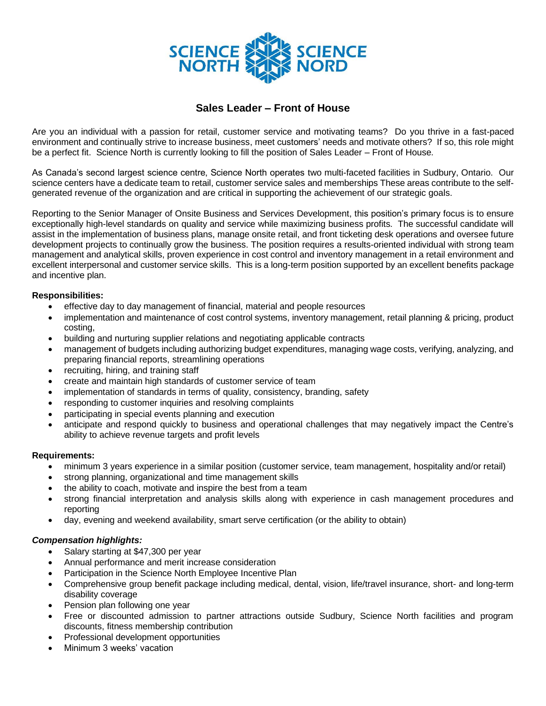

## **Sales Leader – Front of House**

Are you an individual with a passion for retail, customer service and motivating teams? Do you thrive in a fast-paced environment and continually strive to increase business, meet customers' needs and motivate others? If so, this role might be a perfect fit. Science North is currently looking to fill the position of Sales Leader – Front of House.

As Canada's second largest science centre, Science North operates two multi-faceted facilities in Sudbury, Ontario. Our science centers have a dedicate team to retail, customer service sales and memberships These areas contribute to the selfgenerated revenue of the organization and are critical in supporting the achievement of our strategic goals.

Reporting to the Senior Manager of Onsite Business and Services Development, this position's primary focus is to ensure exceptionally high-level standards on quality and service while maximizing business profits. The successful candidate will assist in the implementation of business plans, manage onsite retail, and front ticketing desk operations and oversee future development projects to continually grow the business. The position requires a results-oriented individual with strong team management and analytical skills, proven experience in cost control and inventory management in a retail environment and excellent interpersonal and customer service skills.This is a long-term position supported by an excellent benefits package and incentive plan.

## **Responsibilities:**

- effective day to day management of financial, material and people resources
- implementation and maintenance of cost control systems, inventory management, retail planning & pricing, product costing,
- building and nurturing supplier relations and negotiating applicable contracts
- management of budgets including authorizing budget expenditures, managing wage costs, verifying, analyzing, and preparing financial reports, streamlining operations
- recruiting, hiring, and training staff
- create and maintain high standards of customer service of team
- implementation of standards in terms of quality, consistency, branding, safety
- responding to customer inquiries and resolving complaints
- participating in special events planning and execution
- anticipate and respond quickly to business and operational challenges that may negatively impact the Centre's ability to achieve revenue targets and profit levels

## **Requirements:**

- minimum 3 years experience in a similar position (customer service, team management, hospitality and/or retail)
- strong planning, organizational and time management skills
- the ability to coach, motivate and inspire the best from a team
- strong financial interpretation and analysis skills along with experience in cash management procedures and reporting
- day, evening and weekend availability, smart serve certification (or the ability to obtain)

## *Compensation highlights:*

- Salary starting at \$47,300 per year
- Annual performance and merit increase consideration
- Participation in the Science North Employee Incentive Plan
- Comprehensive group benefit package including medical, dental, vision, life/travel insurance, short- and long-term disability coverage
- Pension plan following one year
- Free or discounted admission to partner attractions outside Sudbury, Science North facilities and program discounts, fitness membership contribution
- Professional development opportunities
- Minimum 3 weeks' vacation